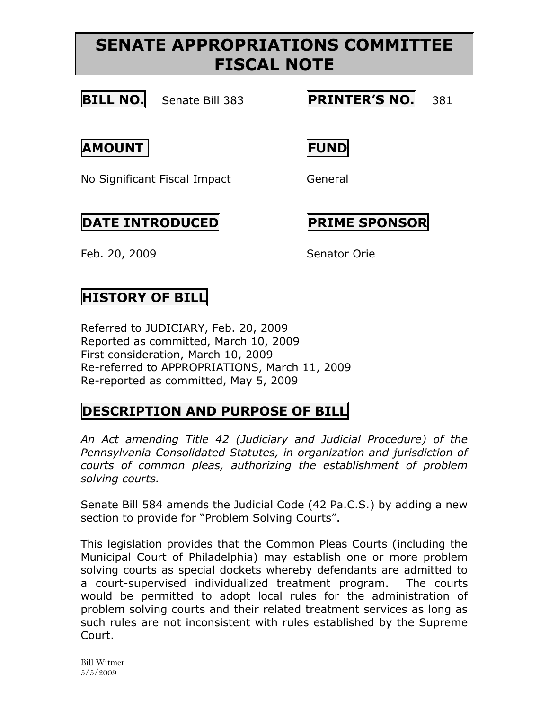## **SENATE APPROPRIATIONS COMMITTEE FISCAL NOTE**



**BILL NO.** Senate Bill 383 **PRINTER'S NO.** 381

### **AMOUNT FUND**

No Significant Fiscal Impact General

## $\vert$ DATE INTRODUCED **PRIME** SPONSOR

Feb. 20, 2009 Senator Orie

### **HISTORY OF BILL**

Referred to JUDICIARY, Feb. 20, 2009 Reported as committed, March 10, 2009 First consideration, March 10, 2009 Re-referred to APPROPRIATIONS, March 11, 2009 Re-reported as committed, May 5, 2009

### **DESCRIPTION AND PURPOSE OF BILL**

*An Act amending Title 42 (Judiciary and Judicial Procedure) of the Pennsylvania Consolidated Statutes, in organization and jurisdiction of courts of common pleas, authorizing the establishment of problem solving courts.*

Senate Bill 584 amends the Judicial Code (42 Pa.C.S.) by adding a new section to provide for "Problem Solving Courts".

This legislation provides that the Common Pleas Courts (including the Municipal Court of Philadelphia) may establish one or more problem solving courts as special dockets whereby defendants are admitted to a court-supervised individualized treatment program. The courts would be permitted to adopt local rules for the administration of problem solving courts and their related treatment services as long as such rules are not inconsistent with rules established by the Supreme Court.